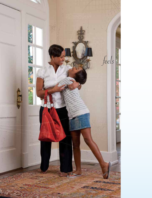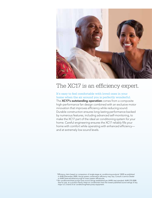

### The XC17 is an efficiency expert.

### It's easy to feel comfortable with loved ones in your home when the air around you is perfectly wonderful.

The XC17's outstanding operation comes from a composite high-performance fan design combined with an exclusive motor innovation that improves efficiency while reducing sound. Durable construction ensures long-lasting performance backed by numerous features, including advanced self-monitoring, to make the XC17 part of the ideal air conditioning system for your home. Careful engineering ensures the XC17 reliably fills your home with comfort while operating with enhanced efficiency and at extremely low sound levels.

<sup>\*</sup>Efficiency claim based on comparison of single-stage air conditioning products' SEER as published in AHRI (December 2009). Actual system combination efficiency may vary. Consult a Lennox Dealer

or AHRI (www.ahridirectory.org) for exact system efficiencies. \*\*Air conditioners/heat pumps have sound ratings established per AHRI's test standard: AHRI 270-2008. Size for size, as a product family, these air conditioners have the lowest published sound ratings of any major U.S. brand of air conditioning/heat pump equipment.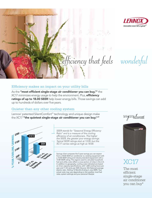



### Efficiency makes an impact on your utility bills

As the "most efficient single-stage air conditioner you can buy,\*" the XC17 minimizes energy usage to help the environment. Plus, efficiency ratings of up to 18.00 SEER help lower energy bills. Those savings can add up to hundreds of dollars over five years.

### Quieter than any other cooling system

Lennox' patented SilentComfort™ technology and unique design make the XC17 "the quietest single-stage air conditioner you can buy.\*\*"



*SEER stands for "Seasonal Energy Efficiency Ratio" and is a measure of the cooling efficiency of air conditioners. The higher the SEER, the greater your energy savings. Typical SEER ratings start at 13.00, but the XC17 carries ratings as high as 18.00.*

Savings chart compares the 5-year savings you can expect from a 18.00 SEER air conditioner vs. existing equipment with a 10.00 SEER rating and industry-standard equipment with a 13.00 SEER rating. The regions used to calculate household fuel and utility costs reflect a cross-section of cities in the U.S. In addition to geography, cooling costs indicated are based on 3-ton capacity specifications, with 1,600 cooling hours per year and 11.35 cents per KWh (Source: EIA National average electric rate—Rolling 12 Months Ending in July 2009). Your actual costs may vary depending on the weather, local fuel rates, system settings and your personal lifestyle.





## XC17

The most efficient single-stage air conditioner you can buy\*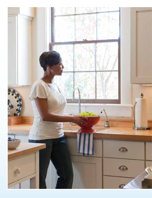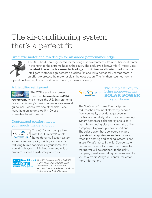# The air-conditioning system that's a perfect fit.

### Exclusive motor and fan design for an added performance edge



The XC17 has been engineered for the toughest environments, from the harshest winters in the north to the extreme heat in the south. The exclusive SilentComfort™ motor uses the **latest in electronic sensor technology** to optimize overall system performance. Intelligent motor design detects a blocked fan and will automatically compensate in an effort to protect the motor or clear the obstruction. The fan then resumes normal

operation, keeping the air conditioner running at peak efficiency.

### A friendlier refrigerant

The XC17's scroll compressor **R-410A uses the chlorine-free R-410A** refrigerant, which meets the U.S. Environmental Protection Agency's most stringent environmental guidelines. Lennox was one of the first HVAC manufacturers to develop R-410A as an

alternative to R-22 (freon).

### Customized comfort meets your needs inside and out



The XC17 is also compatible Humiditrol. with the Humiditrol® wholehome dehumidification system

for improved air quality inside your home. By reducing humid conditions in your home, the Humiditrol system minimizes mold and mildew problems as well as airborne pollutants.



**Most Efficient** The XC17 has earned the ENERGY *STAR® Most Efficient 2014 label, which means it is recognized as one of the most efficient products that qualify for ENERGY STAR.*

# **SUNSOURCE®**

The simplest way to bring money-saving SOLAR POWER into your home

The SunSource® Home Energy System reduces the amount of electricity needed from your utility provider to put you in control of your utility bills. This energy-saving system harnesses solar energy and uses it first—before using electricity from the utility company—to power your air conditioner. The solar power that's collected can also operate other appliances and electronics when the heating and cooling system is not in use. What's more, if the SunSource system generates more solar power than is needed, that power will be sent back to the utility company, possibly entitling homeowners like you to a credit. Ask your Lennox Dealer for more information.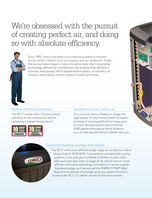## We're obsessed with the pursuit of creating perfect air, and doing so with absolute efficiency.



Since 1895, Lennox has been on a continuous quest to reinvent home comfort. Perfect air is our purpose and our obsession. Today, that pursuit takes shape in many innovative ways: the most precise and energy-efficient air conditioners, the quietest high-efficiency furnaces, heat pumps, Wi-Fi-enabled thermostats, air handlers, air cleaners, small-space comfort systems, boilers and more.

### Peace-of-mind protection

The XC17 comes with a 10-year limited warranty on the compressor and all remaining covered components.\*



#### Dealers you can count on

You can trust Lennox Dealers to design the right system for your home, install it properly and keep it running perfectly for many years to come. Because Lennox has more than 6,000 dealers throughout North America, you can rest assured there's a dealer near you.



### Industry-leading energy innovation

The XC17 is the most efficient single-stage air conditioner with a rating of up to 18.00 SEER. Compared to conventional cooling systems, it can save you hundreds of dollars on your utility bills each year (see chart on page 3). As one of Lennox' most efficient and advanced energy innovations, it carries a green *Signature* badge and has earned the ENERGY STAR® label. Beyond cost savings, this badge gives you peace of mind in knowing the XC17 is a better choice for the environment.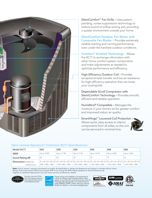SilentComfort™ Fan Grille – Uses patentpending, vortex-suppression technology to reduce sound of airflow exiting unit, providing a quieter environment outside your home.

SilentComfort Outdoor Fan Motor with Composite Fan Blades – Provides extremely reliable starting and running performance, even under the harshest outdoor conditions.

iComfort™-Enabled Technology – Allows the XC17 to exchange information with other home comfort system components and make adjustments as needed to optimize performance and efficiency.

High-Efficiency Outdoor Coil – Provides exceptional heat transfer and low air resistance for high-efficiency operation that can lower your cooling bills.

Dependable Scroll Compressor with SilentComfort Technology – Provides smooth, efficient and reliable operation.

Humiditrol® Compatible – Manages the moisture in your home's air for greater comfort and improved indoor air quality.

SmartHinge™ Louvered Coil Protection – Allows quick, easy access to interior components from all sides, so the unit can be serviced in minimal time.



### Dave Lennox *Signature®* Collection XC17 Specifications

| Model XC17                     | 024                           | 030                           | 036                                                                                                                                     | 042                           | 048                           | 060                           |
|--------------------------------|-------------------------------|-------------------------------|-----------------------------------------------------------------------------------------------------------------------------------------|-------------------------------|-------------------------------|-------------------------------|
| <b>SEER</b>                    | Up to 18.00                   | Up to 17.50                   | Up to 17.50                                                                                                                             | Up to 16.70                   | Up to 16.00                   | Up to 16.00                   |
| Sound Rating-dB                | 62                            | 64                            | 70                                                                                                                                      | 70                            | 73                            | 73                            |
| <b>Dimensions</b> $HxWxD$ (in) |                               |                               | 41 x 35-1/2 x 39-1/2   47 x 35-1/2 x 39-1/2   47 x 35-1/2 x 39-1/2   47 x 35-1/2 x 39-1/2   47 x 35-1/2 x 39-1/2   47 x 35-1/2 x 39-1/2 |                               |                               |                               |
| HxWxD (mm)                     | $1041 \times 902 \times 1003$ | $1194 \times 902 \times 1003$ | $1194 \times 902 \times 1003$                                                                                                           | $1194 \times 902 \times 1003$ | $1194 \times 902 \times 1003$ | $1194 \times 902 \times 1003$ |

**Note:** Due to Lennox' ongoing commitment to quality, all specifications, ratings and dimensions are subject to change without notice.<br>Always verify actual system efficiencies through AHRI or by visiting the AHRI ratings d \*Applies to residential applications only. See actual warranty certificate for details.



Lennox is proud of the fact that these products have earned the Good Housekeeping Seal.



Proper sizing and installation of equipment is critical to achieve optimal performance. Split system air conditioners and heat pumps must be matched with appropriate coil components to<br>meet ENERGY STAR® criteria. Ask your Lennox Dealer for details, or visit www.energystar.gov.